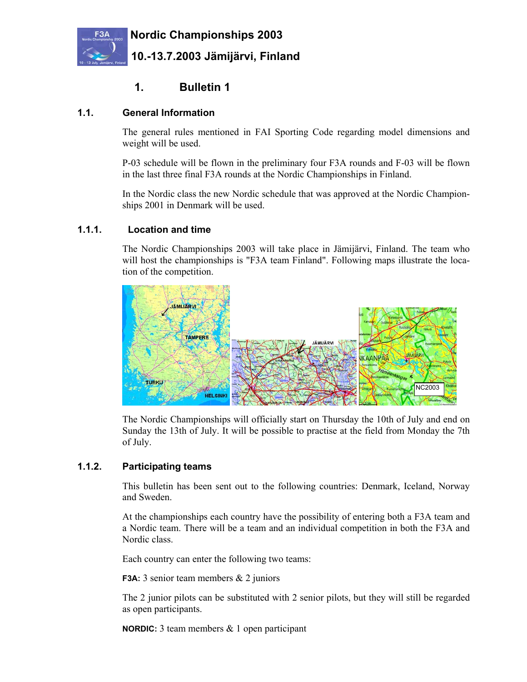

# **1. Bulletin 1**

#### **1.1. General Information**

The general rules mentioned in FAI Sporting Code regarding model dimensions and weight will be used.

P-03 schedule will be flown in the preliminary four F3A rounds and F-03 will be flown in the last three final F3A rounds at the Nordic Championships in Finland.

In the Nordic class the new Nordic schedule that was approved at the Nordic Championships 2001 in Denmark will be used.

#### **1.1.1. Location and time**

The Nordic Championships 2003 will take place in Jämijärvi, Finland. The team who will host the championships is "F3A team Finland". Following maps illustrate the location of the competition.



The Nordic Championships will officially start on Thursday the 10th of July and end on Sunday the 13th of July. It will be possible to practise at the field from Monday the 7th of July.

#### **1.1.2. Participating teams**

This bulletin has been sent out to the following countries: Denmark, Iceland, Norway and Sweden.

At the championships each country have the possibility of entering both a F3A team and a Nordic team. There will be a team and an individual competition in both the F3A and Nordic class.

Each country can enter the following two teams:

**F3A:** 3 senior team members & 2 juniors

The 2 junior pilots can be substituted with 2 senior pilots, but they will still be regarded as open participants.

**NORDIC:** 3 team members & 1 open participant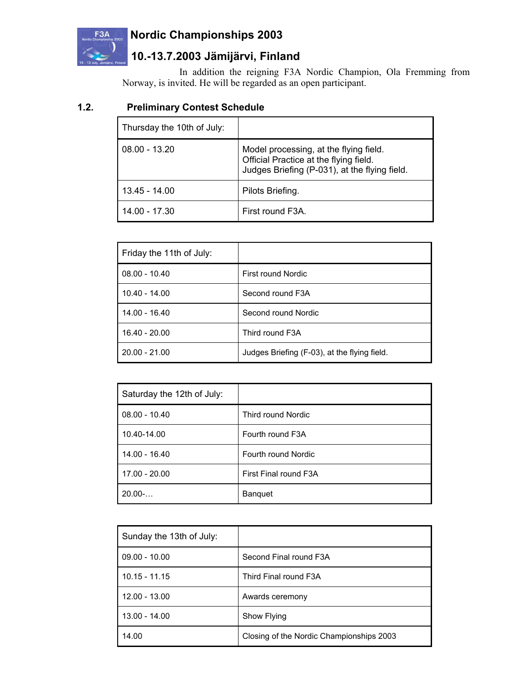

# **F3A Nordic Championships 2003**

# **10.-13.7.2003 Jämijärvi, Finland**

In addition the reigning F3A Nordic Champion, Ola Fremming from Norway, is invited. He will be regarded as an open participant.

### **1.2. Preliminary Contest Schedule**

| Thursday the 10th of July: |                                                                                                                                   |
|----------------------------|-----------------------------------------------------------------------------------------------------------------------------------|
| $08.00 - 13.20$            | Model processing, at the flying field.<br>Official Practice at the flying field.<br>Judges Briefing (P-031), at the flying field. |
| 13.45 - 14.00              | Pilots Briefing.                                                                                                                  |
| 14.00 - 17.30              | First round F3A.                                                                                                                  |

| Friday the 11th of July: |                                              |
|--------------------------|----------------------------------------------|
| $08.00 - 10.40$          | First round Nordic                           |
| $10.40 - 14.00$          | Second round F3A                             |
| $14.00 - 16.40$          | Second round Nordic                          |
| $16.40 - 20.00$          | Third round F3A                              |
| $20.00 - 21.00$          | Judges Briefing (F-03), at the flying field. |

| Saturday the 12th of July: |                           |
|----------------------------|---------------------------|
| $08.00 - 10.40$            | <b>Third round Nordic</b> |
| 10.40-14.00                | Fourth round F3A          |
| 14.00 - 16.40              | Fourth round Nordic       |
| 17.00 - 20.00              | First Final round F3A     |
| $20.00-.$                  | <b>Banquet</b>            |

| Sunday the 13th of July: |                                          |
|--------------------------|------------------------------------------|
| $09.00 - 10.00$          | Second Final round F3A                   |
| $10.15 - 11.15$          | Third Final round F3A                    |
| 12.00 - 13.00            | Awards ceremony                          |
| 13.00 - 14.00            | Show Flying                              |
| 14.00                    | Closing of the Nordic Championships 2003 |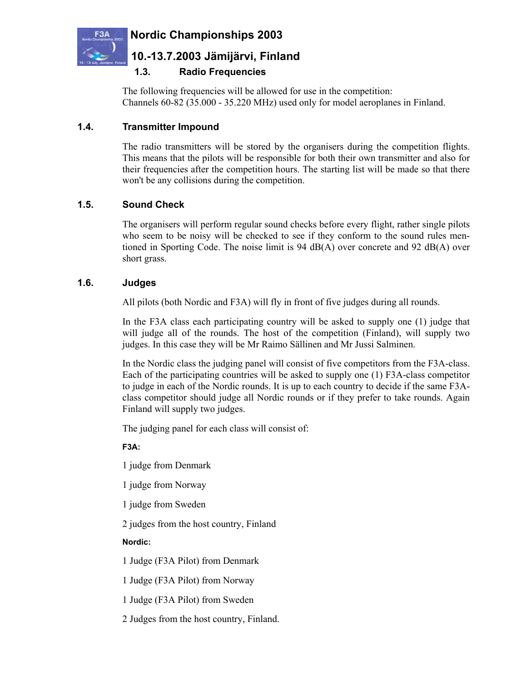



# **10.-13.7.2003 Jämijärvi, Finland**

### **1.3. Radio Frequencies**

The following frequencies will be allowed for use in the competition: Channels 60-82 (35.000 - 35.220 MHz) used only for model aeroplanes in Finland.

#### **1.4. Transmitter Impound**

The radio transmitters will be stored by the organisers during the competition flights. This means that the pilots will be responsible for both their own transmitter and also for their frequencies after the competition hours. The starting list will be made so that there won't be any collisions during the competition.

#### **1.5. Sound Check**

The organisers will perform regular sound checks before every flight, rather single pilots who seem to be noisy will be checked to see if they conform to the sound rules mentioned in Sporting Code. The noise limit is 94 dB(A) over concrete and 92 dB(A) over short grass.

#### **1.6. Judges**

All pilots (both Nordic and F3A) will fly in front of five judges during all rounds.

In the F3A class each participating country will be asked to supply one (1) judge that will judge all of the rounds. The host of the competition (Finland), will supply two judges. In this case they will be Mr Raimo Sällinen and Mr Jussi Salminen.

In the Nordic class the judging panel will consist of five competitors from the F3A-class. Each of the participating countries will be asked to supply one (1) F3A-class competitor to judge in each of the Nordic rounds. It is up to each country to decide if the same F3Aclass competitor should judge all Nordic rounds or if they prefer to take rounds. Again Finland will supply two judges.

The judging panel for each class will consist of:

**F3A:**

1 judge from Denmark

1 judge from Norway

1 judge from Sweden

2 judges from the host country, Finland

#### **Nordic:**

1 Judge (F3A Pilot) from Denmark

1 Judge (F3A Pilot) from Norway

1 Judge (F3A Pilot) from Sweden

2 Judges from the host country, Finland.